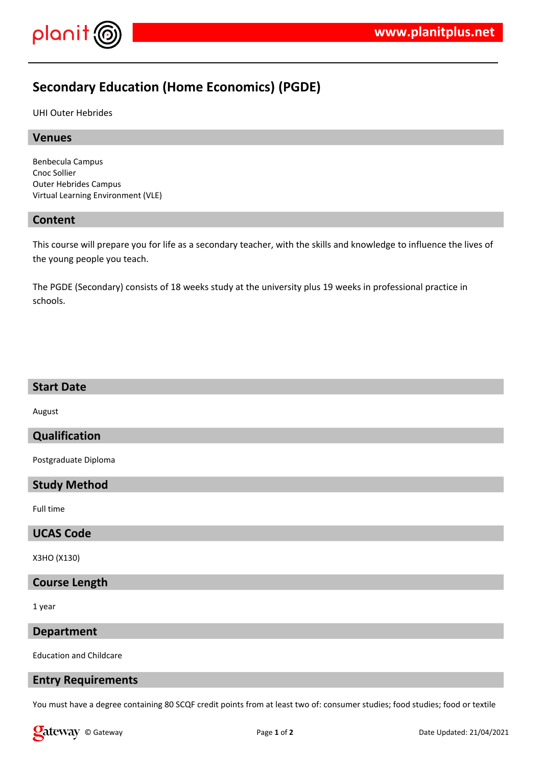

# **Secondary Education (Home Economics) (PGDE)**

UHI Outer Hebrides

#### **Venues**

Benbecula Campus Cnoc Sollier Outer Hebrides Campus Virtual Learning Environment (VLE)

#### **Content**

This course will prepare you for life as a secondary teacher, with the skills and knowledge to influence the lives of the young people you teach.

The PGDE (Secondary) consists of 18 weeks study at the university plus 19 weeks in professional practice in schools.

### **Start Date**

August

## **Qualification**

Postgraduate Diploma

#### **Study Method**

Full time

#### **UCAS Code**

X3HO (X130)

## **Course Length**

1 year

## **Department**

Education and Childcare

#### **Entry Requirements**

You must have a degree containing 80 SCQF credit points from at least two of: consumer studies; food studies; food or textile